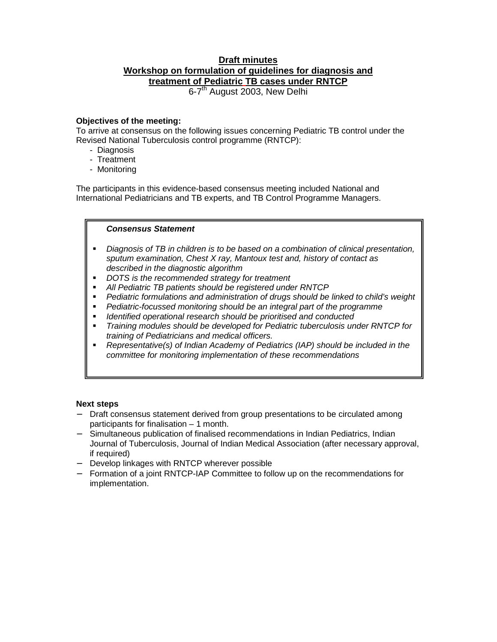# **Draft minutes Workshop on formulation of guidelines for diagnosis and treatment of Pediatric TB cases under RNTCP**

6-7<sup>th</sup> August 2003, New Delhi

# **Objectives of the meeting:**

To arrive at consensus on the following issues concerning Pediatric TB control under the Revised National Tuberculosis control programme (RNTCP):

- Diagnosis
- Treatment
- Monitoring

The participants in this evidence-based consensus meeting included National and International Pediatricians and TB experts, and TB Control Programme Managers.

# *Consensus Statement*

- *Diagnosis of TB in children is to be based on a combination of clinical presentation, sputum examination, Chest X ray, Mantoux test and, history of contact as described in the diagnostic algorithm*
- *DOTS is the recommended strategy for treatment*
- *All Pediatric TB patients should be registered under RNTCP*
- *Pediatric formulations and administration of drugs should be linked to child's weight*
- *Pediatric-focussed monitoring should be an integral part of the programme*
- *Identified operational research should be prioritised and conducted*
- *Training modules should be developed for Pediatric tuberculosis under RNTCP for training of Pediatricians and medical officers.*
- **Representative(s) of Indian Academy of Pediatrics (IAP) should be included in the** *committee for monitoring implementation of these recommendations*

# **Next steps**

- − Draft consensus statement derived from group presentations to be circulated among participants for finalisation – 1 month.
- − Simultaneous publication of finalised recommendations in Indian Pediatrics, Indian Journal of Tuberculosis, Journal of Indian Medical Association (after necessary approval, if required)
- − Develop linkages with RNTCP wherever possible
- − Formation of a joint RNTCP-IAP Committee to follow up on the recommendations for implementation.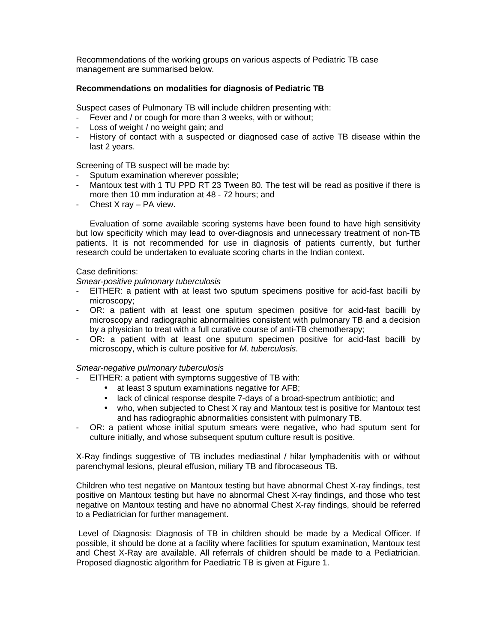Recommendations of the working groups on various aspects of Pediatric TB case management are summarised below.

### **Recommendations on modalities for diagnosis of Pediatric TB**

Suspect cases of Pulmonary TB will include children presenting with:

- Fever and / or cough for more than 3 weeks, with or without;
- Loss of weight / no weight gain; and
- History of contact with a suspected or diagnosed case of active TB disease within the last 2 years.

Screening of TB suspect will be made by:

- Sputum examination wherever possible;
- Mantoux test with 1 TU PPD RT 23 Tween 80. The test will be read as positive if there is more then 10 mm induration at 48 - 72 hours; and
- Chest X ray PA view.

Evaluation of some available scoring systems have been found to have high sensitivity but low specificity which may lead to over-diagnosis and unnecessary treatment of non-TB patients. It is not recommended for use in diagnosis of patients currently, but further research could be undertaken to evaluate scoring charts in the Indian context.

### Case definitions:

*Smear-positive pulmonary tuberculosis* 

- EITHER: a patient with at least two sputum specimens positive for acid-fast bacilli by microscopy;
- OR: a patient with at least one sputum specimen positive for acid-fast bacilli by microscopy and radiographic abnormalities consistent with pulmonary TB and a decision by a physician to treat with a full curative course of anti-TB chemotherapy;
- OR**:** a patient with at least one sputum specimen positive for acid-fast bacilli by microscopy, which is culture positive for *M. tuberculosis.*

#### *Smear-negative pulmonary tuberculosis*

- EITHER: a patient with symptoms suggestive of TB with:
	- at least 3 sputum examinations negative for AFB;
	- lack of clinical response despite 7-days of a broad-spectrum antibiotic; and
	- who, when subjected to Chest X ray and Mantoux test is positive for Mantoux test and has radiographic abnormalities consistent with pulmonary TB.
- OR: a patient whose initial sputum smears were negative, who had sputum sent for culture initially, and whose subsequent sputum culture result is positive.

X-Ray findings suggestive of TB includes mediastinal / hilar lymphadenitis with or without parenchymal lesions, pleural effusion, miliary TB and fibrocaseous TB.

Children who test negative on Mantoux testing but have abnormal Chest X-ray findings, test positive on Mantoux testing but have no abnormal Chest X-ray findings, and those who test negative on Mantoux testing and have no abnormal Chest X-ray findings, should be referred to a Pediatrician for further management.

 Level of Diagnosis: Diagnosis of TB in children should be made by a Medical Officer. If possible, it should be done at a facility where facilities for sputum examination, Mantoux test and Chest X-Ray are available. All referrals of children should be made to a Pediatrician. Proposed diagnostic algorithm for Paediatric TB is given at Figure 1.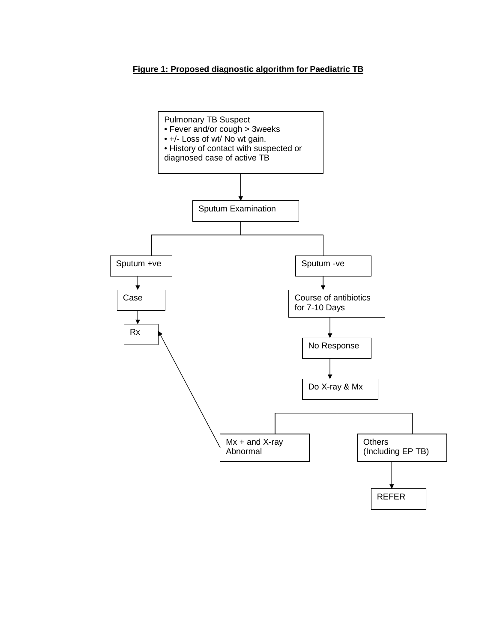### **Figure 1: Proposed diagnostic algorithm for Paediatric TB**

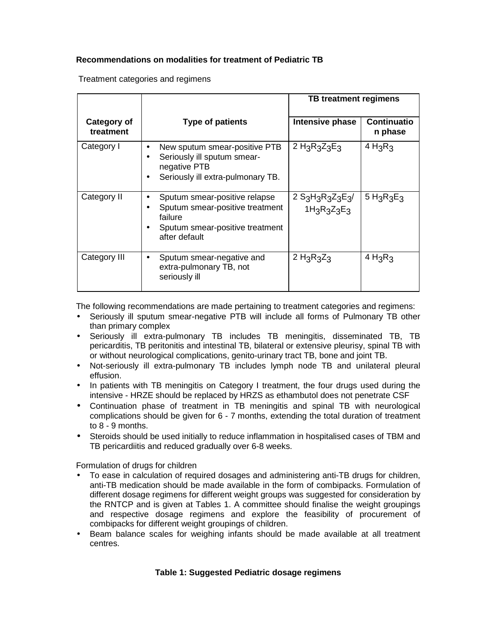# **Recommendations on modalities for treatment of Pediatric TB**

Treatment categories and regimens

|                          |                                                                                                                                                          | TB treatment regimens                                                                               |                               |
|--------------------------|----------------------------------------------------------------------------------------------------------------------------------------------------------|-----------------------------------------------------------------------------------------------------|-------------------------------|
| Category of<br>treatment | <b>Type of patients</b>                                                                                                                                  | Intensive phase                                                                                     | <b>Continuatio</b><br>n phase |
| Category I               | New sputum smear-positive PTB<br>$\bullet$<br>Seriously ill sputum smear-<br>$\bullet$<br>negative PTB<br>Seriously ill extra-pulmonary TB.<br>$\bullet$ | 2 $H_3R_3Z_3E_3$                                                                                    | $4 H_3R_3$                    |
| Category II              | Sputum smear-positive relapse<br>Sputum smear-positive treatment<br>failure<br>Sputum smear-positive treatment<br>٠<br>after default                     | $2$ S <sub>3</sub> H <sub>3</sub> R <sub>3</sub> Z <sub>3</sub> E <sub>3</sub> /<br>$1H_3R_3Z_3E_3$ | $5 H_3R_3E_3$                 |
| Category III             | Sputum smear-negative and<br>٠<br>extra-pulmonary TB, not<br>seriously ill                                                                               | 2 $H_3R_3Z_3$                                                                                       | $4 H_3 R_3$                   |

The following recommendations are made pertaining to treatment categories and regimens:

- Seriously ill sputum smear-negative PTB will include all forms of Pulmonary TB other than primary complex
- Seriously ill extra-pulmonary TB includes TB meningitis, disseminated TB, TB pericarditis, TB peritonitis and intestinal TB, bilateral or extensive pleurisy, spinal TB with or without neurological complications, genito-urinary tract TB, bone and joint TB.
- Not-seriously ill extra-pulmonary TB includes lymph node TB and unilateral pleural effusion.
- In patients with TB meningitis on Category I treatment, the four drugs used during the intensive - HRZE should be replaced by HRZS as ethambutol does not penetrate CSF
- Continuation phase of treatment in TB meningitis and spinal TB with neurological complications should be given for 6 - 7 months, extending the total duration of treatment to 8 - 9 months.
- Steroids should be used initially to reduce inflammation in hospitalised cases of TBM and TB pericardiitis and reduced gradually over 6-8 weeks.

Formulation of drugs for children

- To ease in calculation of required dosages and administering anti-TB drugs for children, anti-TB medication should be made available in the form of combipacks. Formulation of different dosage regimens for different weight groups was suggested for consideration by the RNTCP and is given at Tables 1. A committee should finalise the weight groupings and respective dosage regimens and explore the feasibility of procurement of combipacks for different weight groupings of children.
- Beam balance scales for weighing infants should be made available at all treatment centres.

# **Table 1: Suggested Pediatric dosage regimens**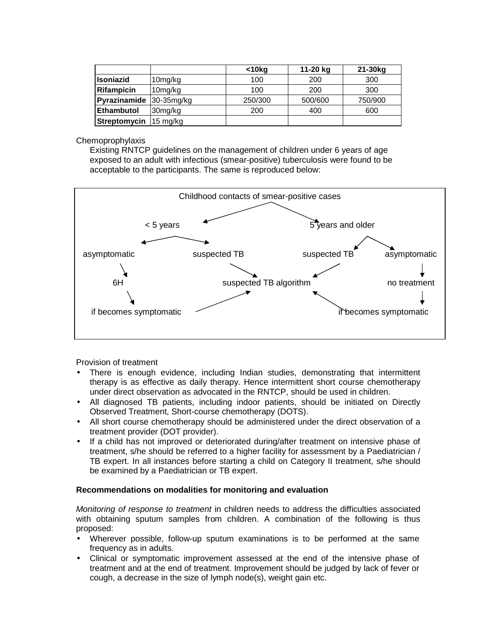|                   |                     | $<$ 10 $kg$ | 11-20 kg | 21-30kg |
|-------------------|---------------------|-------------|----------|---------|
| <b>Isoniazid</b>  | 10mg/kg             | 100         | 200      | 300     |
| <b>Rifampicin</b> | 10 <sub>mg/kg</sub> | 100         | 200      | 300     |
| Pyrazinamide      | 30-35mg/kg          | 250/300     | 500/600  | 750/900 |
| <b>Ethambutol</b> | 30mg/kg             | 200         | 400      | 600     |
| Streptomycin      | 15 mg/kg            |             |          |         |

### **Chemoprophylaxis**

Existing RNTCP guidelines on the management of children under 6 years of age exposed to an adult with infectious (smear-positive) tuberculosis were found to be acceptable to the participants. The same is reproduced below:



Provision of treatment

- There is enough evidence, including Indian studies, demonstrating that intermittent therapy is as effective as daily therapy. Hence intermittent short course chemotherapy under direct observation as advocated in the RNTCP, should be used in children.
- All diagnosed TB patients, including indoor patients, should be initiated on Directly Observed Treatment, Short-course chemotherapy (DOTS).
- All short course chemotherapy should be administered under the direct observation of a treatment provider (DOT provider).
- If a child has not improved or deteriorated during/after treatment on intensive phase of treatment, s/he should be referred to a higher facility for assessment by a Paediatrician / TB expert. In all instances before starting a child on Category II treatment, s/he should be examined by a Paediatrician or TB expert.

# **Recommendations on modalities for monitoring and evaluation**

*Monitoring of response to treatment* in children needs to address the difficulties associated with obtaining sputum samples from children. A combination of the following is thus proposed:

- Wherever possible, follow-up sputum examinations is to be performed at the same frequency as in adults.
- Clinical or symptomatic improvement assessed at the end of the intensive phase of treatment and at the end of treatment. Improvement should be judged by lack of fever or cough, a decrease in the size of lymph node(s), weight gain etc.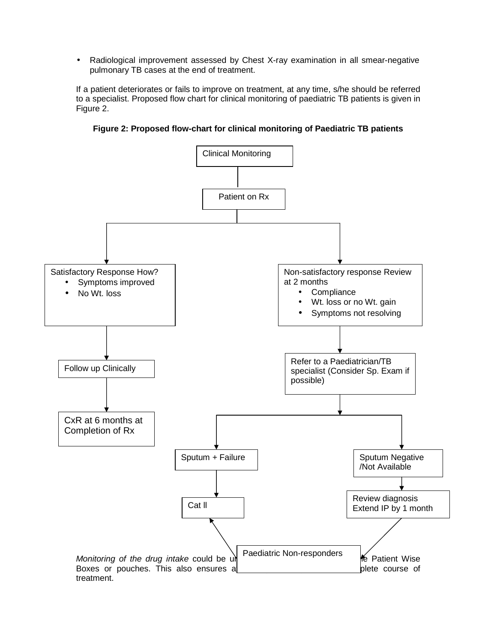• Radiological improvement assessed by Chest X-ray examination in all smear-negative pulmonary TB cases at the end of treatment.

If a patient deteriorates or fails to improve on treatment, at any time, s/he should be referred to a specialist. Proposed flow chart for clinical monitoring of paediatric TB patients is given in Figure 2.

**Figure 2: Proposed flow-chart for clinical monitoring of Paediatric TB patients** 

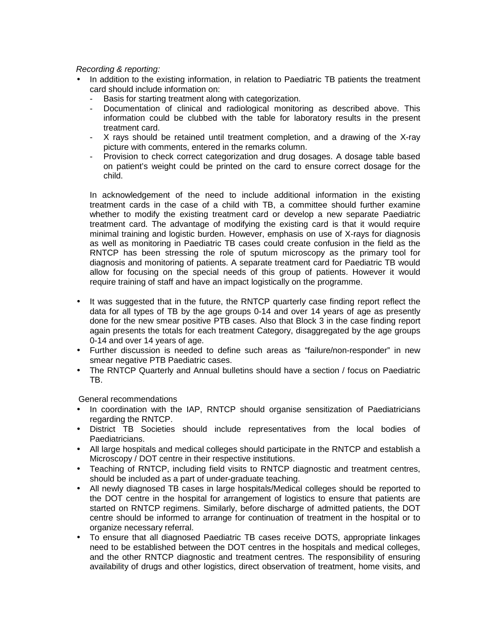### *Recording & reporting:*

- In addition to the existing information, in relation to Paediatric TB patients the treatment card should include information on:
	- Basis for starting treatment along with categorization.
	- Documentation of clinical and radiological monitoring as described above. This information could be clubbed with the table for laboratory results in the present treatment card.
	- X rays should be retained until treatment completion, and a drawing of the X-ray picture with comments, entered in the remarks column.
	- Provision to check correct categorization and drug dosages. A dosage table based on patient's weight could be printed on the card to ensure correct dosage for the child.

In acknowledgement of the need to include additional information in the existing treatment cards in the case of a child with TB, a committee should further examine whether to modify the existing treatment card or develop a new separate Paediatric treatment card. The advantage of modifying the existing card is that it would require minimal training and logistic burden. However, emphasis on use of X-rays for diagnosis as well as monitoring in Paediatric TB cases could create confusion in the field as the RNTCP has been stressing the role of sputum microscopy as the primary tool for diagnosis and monitoring of patients. A separate treatment card for Paediatric TB would allow for focusing on the special needs of this group of patients. However it would require training of staff and have an impact logistically on the programme.

- It was suggested that in the future, the RNTCP quarterly case finding report reflect the data for all types of TB by the age groups 0-14 and over 14 years of age as presently done for the new smear positive PTB cases. Also that Block 3 in the case finding report again presents the totals for each treatment Category, disaggregated by the age groups 0-14 and over 14 years of age.
- Further discussion is needed to define such areas as "failure/non-responder" in new smear negative PTB Paediatric cases.
- The RNTCP Quarterly and Annual bulletins should have a section / focus on Paediatric TB.

General recommendations

- In coordination with the IAP, RNTCP should organise sensitization of Paediatricians regarding the RNTCP.
- District TB Societies should include representatives from the local bodies of Paediatricians.
- All large hospitals and medical colleges should participate in the RNTCP and establish a Microscopy / DOT centre in their respective institutions.
- Teaching of RNTCP, including field visits to RNTCP diagnostic and treatment centres, should be included as a part of under-graduate teaching.
- All newly diagnosed TB cases in large hospitals/Medical colleges should be reported to the DOT centre in the hospital for arrangement of logistics to ensure that patients are started on RNTCP regimens. Similarly, before discharge of admitted patients, the DOT centre should be informed to arrange for continuation of treatment in the hospital or to organize necessary referral.
- To ensure that all diagnosed Paediatric TB cases receive DOTS, appropriate linkages need to be established between the DOT centres in the hospitals and medical colleges, and the other RNTCP diagnostic and treatment centres. The responsibility of ensuring availability of drugs and other logistics, direct observation of treatment, home visits, and